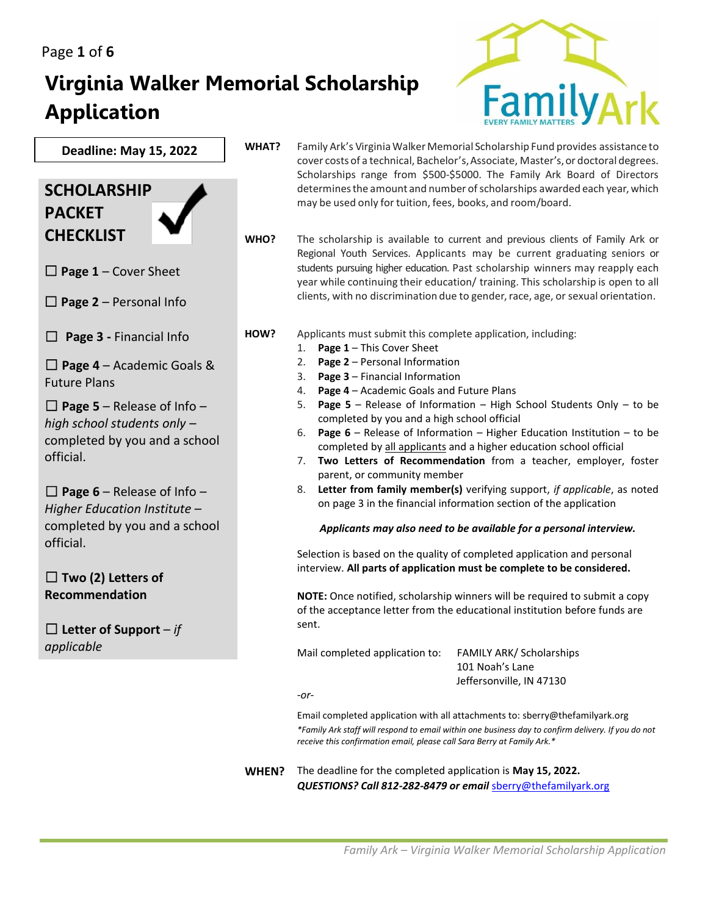# **Virginia Walker Memorial Scholarship Application**



**Deadline: May 15, 2022**

## **SCHOLARSHIP PACKET CHECKLIST**

☐☐ **Page 1** – Cover Sheet

 $\Box$  **Page 2** – Personal Info

☐ **Page 3 -** Financial Info

☐ **Page 4** – Academic Goals & Future Plans

☐ **Page 5** – Release of Info – *high school students only* – completed by you and a school official.

 $\Box$  **Page 6** – Release of Info – *Higher Education Institute* – completed by you and a school official.

☐ **Two (2) Letters of Recommendation**

☐ **Letter of Support** – *if applicable*

WHAT? Family Ark's Virginia Walker Memorial Scholarship Fund provides assistance to cover costs of a technical, Bachelor's, Associate, Master's, or doctoral degrees. Scholarships range from \$500-\$5000. The Family Ark Board of Directors determines the amount and number of scholarships awarded each year, which may be used only for tuition, fees, books, and room/board.

**WHO?** The scholarship is available to current and previous clients of Family Ark or Regional Youth Services. Applicants may be current graduating seniors or students pursuing higher education. Past scholarship winners may reapply each year while continuing their education/ training. This scholarship is open to all clients, with no discrimination due to gender, race, age, or sexual orientation.

**HOW?** Applicants must submit this complete application, including:

- 1. **Page 1** This Cover Sheet
- 2. **Page 2** Personal Information
- 3. **Page 3** Financial Information
- 4. **Page 4** Academic Goals and Future Plans
- 5. **Page 5** Release of Information High School Students Only to be completed by you and a high school official
- 6. **Page 6** Release of Information Higher Education Institution to be completed by all applicants and a higher education school official
- 7. **Two Letters of Recommendation** from a teacher, employer, foster parent, or community member
- 8. **Letter from family member(s)** verifying support, *if applicable*, as noted on page 3 in the financial information section of the application

*Applicants may also need to be available for a personal interview.*

Selection is based on the quality of completed application and personal interview. **All parts of application must be complete to be considered.**

**NOTE:** Once notified, scholarship winners will be required to submit a copy of the acceptance letter from the educational institution before funds are sent.

Mail completed application to: FAMILY ARK/ Scholarships

 101 Noah's Lane Jeffersonville, IN 47130

*-or-*

Email completed application with all attachments to: sberry@thefamilyark.org *\*Family Ark staff will respond to email within one business day to confirm delivery. If you do not receive this confirmation email, please call Sara Berry at Family Ark.\**

**WHEN?** The deadline for the completed application is **May 15, 2022.** *QUESTIONS? Call 812-282-8479 or email* [sberry@thefamilyark.org](mailto:sberry@thefamilyark.org)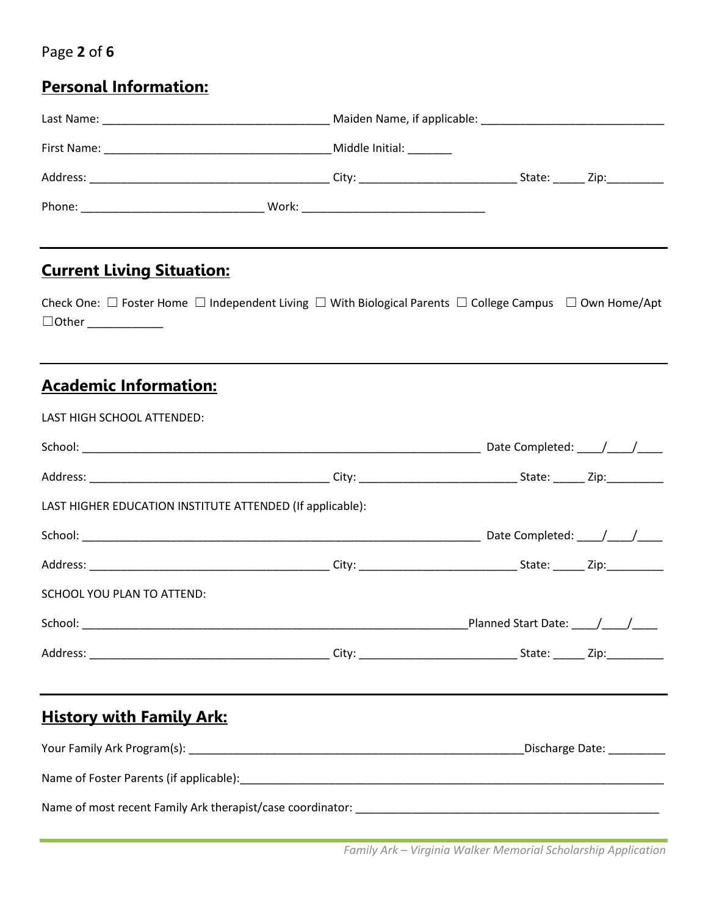#### Page **2** of **6**

# **Personal Information:**

| <b>Current Living Situation:</b><br>$\Box$ Other ______________ | Check One: $\Box$ Foster Home $\Box$ Independent Living $\Box$ With Biological Parents $\Box$ College Campus $\Box$ Own Home/Apt |  |  |  |
|-----------------------------------------------------------------|----------------------------------------------------------------------------------------------------------------------------------|--|--|--|
| <b>Academic Information:</b>                                    |                                                                                                                                  |  |  |  |
| LAST HIGH SCHOOL ATTENDED:                                      |                                                                                                                                  |  |  |  |
|                                                                 |                                                                                                                                  |  |  |  |
|                                                                 |                                                                                                                                  |  |  |  |
| LAST HIGHER EDUCATION INSTITUTE ATTENDED (If applicable):       |                                                                                                                                  |  |  |  |
|                                                                 |                                                                                                                                  |  |  |  |
|                                                                 |                                                                                                                                  |  |  |  |

| SCHOOL YOU PLAN TO ATTEND: |       |                            |
|----------------------------|-------|----------------------------|
| School:                    |       | <b>Planned Start Date:</b> |
| Address:                   | Citv: | State:<br>Zip:             |

## **History with Family Ark:**

| Your Family Ark Program(s):                                | Discharge Date: |
|------------------------------------------------------------|-----------------|
| Name of Foster Parents (if applicable):                    |                 |
| Name of most recent Family Ark therapist/case coordinator: |                 |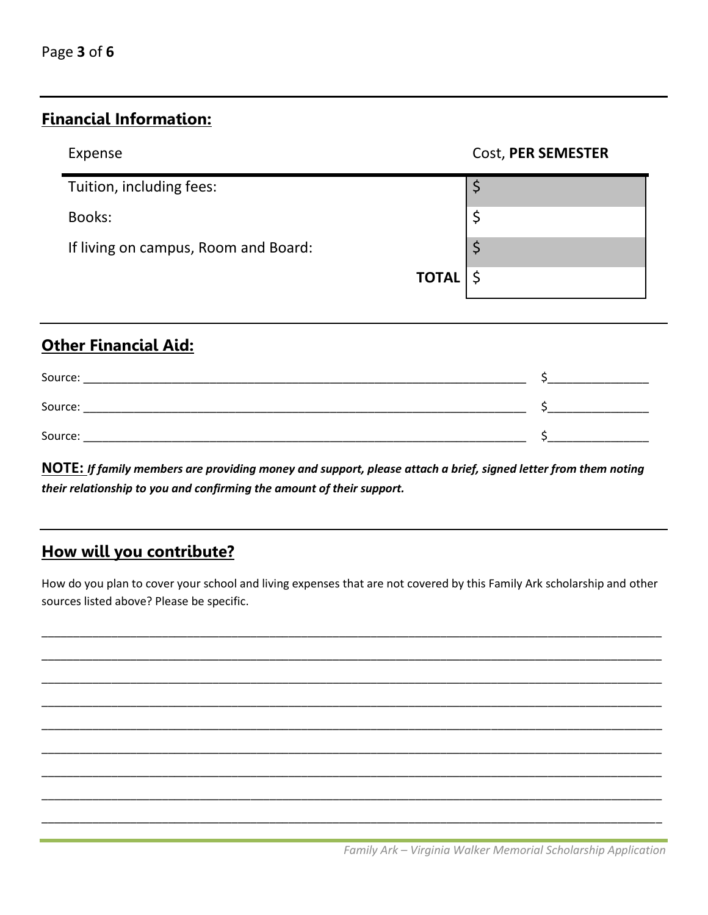#### **Financial Information:**

| Expense                              | Cost, PER SEMESTER |
|--------------------------------------|--------------------|
| Tuition, including fees:             |                    |
| Books:                               |                    |
| If living on campus, Room and Board: |                    |
| $TOTAL  $ \$                         |                    |

## **Other Financial Aid:**

| Source: |  |
|---------|--|
| Source: |  |
| Source: |  |

NOTE: If family members are providing money and support, please attach a brief, signed letter from them noting their relationship to you and confirming the amount of their support.

## How will you contribute?

How do you plan to cover your school and living expenses that are not covered by this Family Ark scholarship and other sources listed above? Please be specific.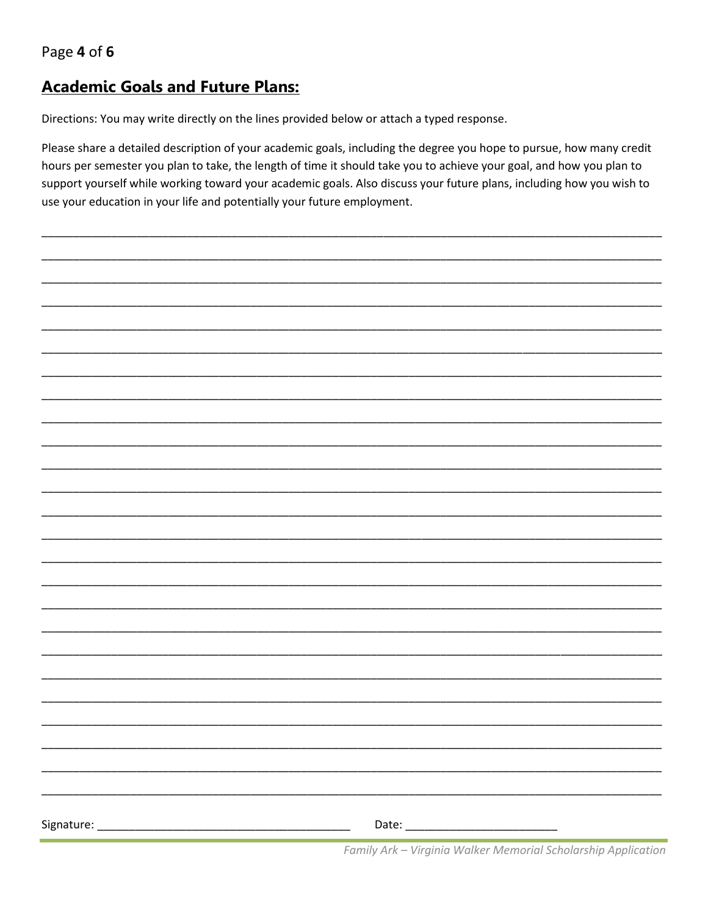Page 4 of 6

### **Academic Goals and Future Plans:**

Directions: You may write directly on the lines provided below or attach a typed response.

Please share a detailed description of your academic goals, including the degree you hope to pursue, how many credit hours per semester you plan to take, the length of time it should take you to achieve your goal, and how you plan to support yourself while working toward your academic goals. Also discuss your future plans, including how you wish to use your education in your life and potentially your future employment.

| Family Ark - Virginia Walker Memorial Scholarship Application |  |
|---------------------------------------------------------------|--|
|                                                               |  |
|                                                               |  |
|                                                               |  |
|                                                               |  |
|                                                               |  |
|                                                               |  |
|                                                               |  |
|                                                               |  |
|                                                               |  |
|                                                               |  |
|                                                               |  |
|                                                               |  |
|                                                               |  |
|                                                               |  |
|                                                               |  |
|                                                               |  |
|                                                               |  |
|                                                               |  |
|                                                               |  |
|                                                               |  |
|                                                               |  |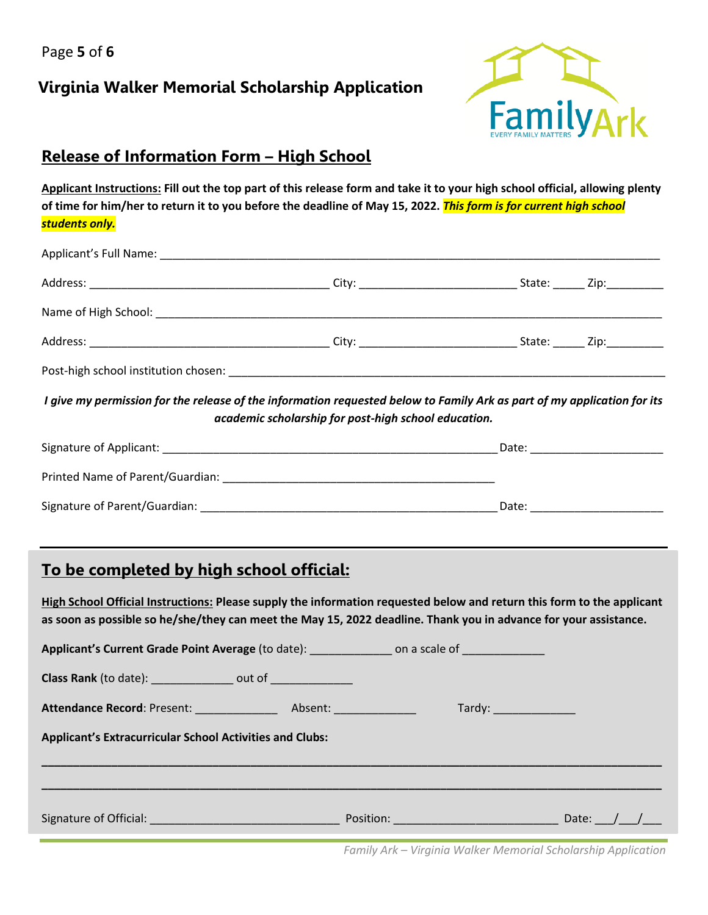Page **5** of **6**

#### **Virginia Walker Memorial Scholarship Application**



#### **Release of Information Form – High School**

**Applicant Instructions: Fill out the top part of this release form and take it to your high school official, allowing plenty of time for him/her to return it to you before the deadline of May 15, 2022.** *This form is for current high school students only.*

| I give my permission for the release of the information requested below to Family Ark as part of my application for its | academic scholarship for post-high school education. |                                   |
|-------------------------------------------------------------------------------------------------------------------------|------------------------------------------------------|-----------------------------------|
|                                                                                                                         |                                                      |                                   |
|                                                                                                                         |                                                      |                                   |
|                                                                                                                         |                                                      | _Date: __________________________ |

#### **To be completed by high school official:**

**High School Official Instructions: Please supply the information requested below and return this form to the applicant as soon as possible so he/she/they can meet the May 15, 2022 deadline. Thank you in advance for your assistance.** 

| Applicant's Current Grade Point Average (to date): ________________ on a scale of _________________ |  |  |  |  |
|-----------------------------------------------------------------------------------------------------|--|--|--|--|
| Class Rank (to date): ________________ out of _______________                                       |  |  |  |  |
|                                                                                                     |  |  |  |  |
| <b>Applicant's Extracurricular School Activities and Clubs:</b>                                     |  |  |  |  |
|                                                                                                     |  |  |  |  |
| <b>Signature of Official: Signature of Official:</b>                                                |  |  |  |  |

*Family Ark – Virginia Walker Memorial Scholarship Application*